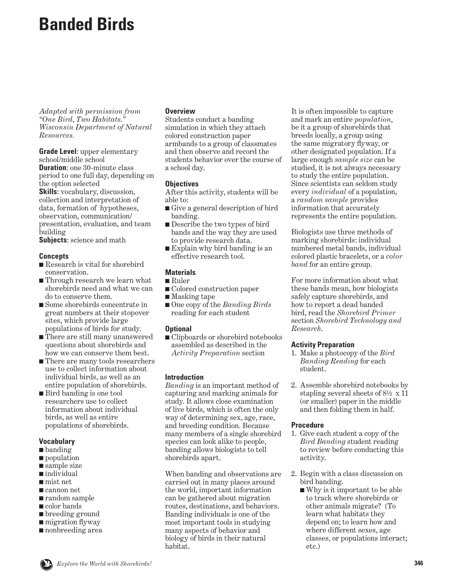# **Banded Birds**

*Adapted with permission from "One Bird, Two Habitats." Wisconsin Department of Natural Resources.*

**Grade Level**: upper elementary school/middle school **Duration**: one 30-minute class period to one full day, depending on the option selected **Skills**: vocabulary, discussion, collection and interpretation of data, formation of hypotheses, observation, communication/ presentation, evaluation, and team building

**Subjects**: science and math

#### **Concepts**

- Research is vital for shorebird conservation.
- Through research we learn what shorebirds need and what we can do to conserve them.
- Some shorebirds concentrate in great numbers at their stopover sites, which provide large populations of birds for study.
- There are still many unanswered questions about shorebirds and how we can conserve them best.
- There are many tools researchers use to collect information about individual birds, as well as an entire population of shorebirds.
- Bird banding is one tool researchers use to collect information about individual birds, as well as entire populations of shorebirds.

#### **Vocabulary**

- banding
- population
- sample size
- individual
- mist net
- cannon net
- random sample
- color bands
- breeding ground
- migration flyway
- nonbreeding area

#### **Overview**

Students conduct a banding simulation in which they attach colored construction paper armbands to a group of classmates and then observe and record the students behavior over the course of a school day.

### **Objectives**

After this activity, students will be able to:

- Give a general description of bird banding.
- Describe the two types of bird bands and the way they are used to provide research data.
- Explain why bird banding is an effective research tool.

### **Materials**

- Ruler
- Colored construction paper
- Masking tape
- One copy of the *Banding Birds* reading for each student

### **Optional**

■ Clipboards or shorebird notebooks assembled as described in the *Activity Preparation* section

### **Introduction**

*Banding* is an important method of capturing and marking animals for study. It allows close examination of live birds, which is often the only way of determining sex, age, race, and breeding condition. Because many members of a single shorebird species can look alike to people, banding allows biologists to tell shorebirds apart.

When banding and observations are carried out in many places around the world, important information can be gathered about migration routes, destinations, and behaviors. Banding individuals is one of the most important tools in studying many aspects of behavior and biology of birds in their natural habitat.

It is often impossible to capture and mark an entire *population*, be it a group of shorebirds that breeds locally, a group using the same migratory flyway, or other designated population. If a large enough *sample size* can be studied, it is not always necessary to study the entire population. Since scientists can seldom study every *individual* of a population, a *random sample* provides information that accurately represents the entire population.

Biologists use three methods of marking shorebirds: individual numbered metal bands, individual colored plastic bracelets, or a *color band* for an entire group.

For more information about what these bands mean, how biologists safely capture shorebirds, and how to report a dead banded bird, read the *Shorebird Primer* section *Shorebird Technology and Research*.

### **Activity Preparation**

- 1. Make a photocopy of the *Bird Banding Reading* for each student.
- 2. Assemble shorebird notebooks by stapling several sheets of 8½ x 11 (or smaller) paper in the middle and then folding them in half.

### **Procedure**

- 1. Give each student a copy of the *Bird Banding* student reading to review before conducting this activity.
- 2. Begin with a class discussion on bird banding.
	- Why is it important to be able to track where shorebirds or other animals migrate? (To learn what habitats they depend on; to learn how and where different sexes, age classes, or populations interact; etc.)

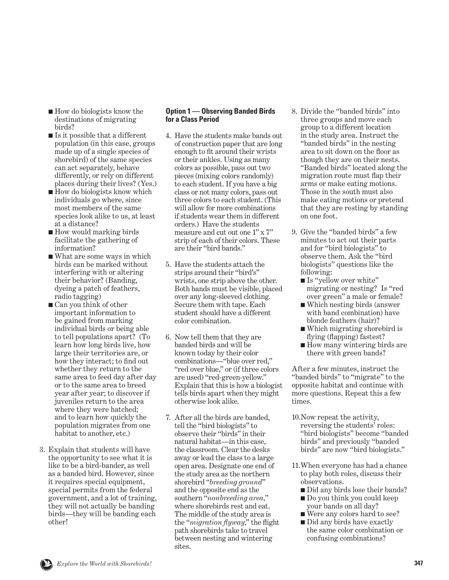- How do biologists know the destinations of migrating birds?
- Is it possible that a different population (in this case, groups made up of a single species of shorebird) of the same species can act separately, behave differently, or rely on different places during their lives? (Yes.)
- How do biologists know which individuals go where, since most members of the same species look alike to us, at least at a distance?
- How would marking birds facilitate the gathering of information?
- What are some ways in which birds can be marked without interfering with or altering their behavior? (Banding, dyeing a patch of feathers, radio tagging)
- Can you think of other important information to be gained from marking individual birds or being able to tell populations apart? (To learn how long birds live, how large their territories are, or how they interact; to find out whether they return to the same area to feed day after day or to the same area to breed year after year; to discover if juveniles return to the area where they were hatched; and to learn how quickly the population migrates from one habitat to another, etc.)
- 3. Explain that students will have the opportunity to see what it is like to be a bird-bander, as well as a banded bird. However, since it requires special equipment, special permits from the federal government, and a lot of training, they will not actually be banding birds—they will be banding each other!

#### **Option 1 — Observing Banded Birds for a Class Period**

- 4. Have the students make bands out of construction paper that are long enough to fit around their wrists or their ankles. Using as many colors as possible, pass out two pieces (mixing colors randomly) to each student. If you have a big class or not many colors, pass out three colors to each student. (This will allow for more combinations if students wear them in different orders.) Have the students measure and cut out one 1" x 7" strip of each of their colors. These are their "bird bands."
- 5. Have the students attach the strips around their "bird's" wrists, one strip above the other. Both bands must be visible, placed over any long-sleeved clothing. Secure them with tape. Each student should have a different color combination.
- 6. Now tell them that they are banded birds and will be known today by their color combinations—"blue over red," "red over blue," or (if three colors are used) "red-green-yellow." Explain that this is how a biologist tells birds apart when they might otherwise look alike.
- 7. After all the birds are banded, tell the "bird biologists" to observe their "birds" in their natural habitat—in this case, the classroom. Clear the desks away or lead the class to a large open area. Designate one end of the study area as the northern shorebird "*breeding ground*" and the opposite end as the southern "*nonbreeding area,*" where shorebirds rest and eat. The middle of the study area is the "*migration flyway*," the flight path shorebirds take to travel between nesting and wintering sites.
- 8. Divide the "banded birds" into three groups and move each group to a different location in the study area. Instruct the "banded birds" in the nesting area to sit down on the floor as though they are on their nests. "Banded birds" located along the migration route must flap their arms or make eating motions. Those in the south must also make eating motions or pretend that they are resting by standing on one foot.
- 9. Give the "banded birds" a few minutes to act out their parts and for "bird biologists" to observe them. Ask the "bird biologists" questions like the following:
	- Is "vellow over white" migrating or nesting? Is "red over green" a male or female?
	- Which nesting birds (answer with band combination) have blonde feathers (hair)?
	- Which migrating shorebird is flying (flapping) fastest?
	- How many wintering birds are there with green bands?

After a few minutes, instruct the "banded birds" to "migrate" to the opposite habitat and continue with more questions. Repeat this a few times.

- 10. Now repeat the activity, reversing the students' roles: "bird biologists" become "banded birds" and previously "banded birds" are now "bird biologists."
- 11. When everyone has had a chance to play both roles, discuss their observations.
	- Did any birds lose their bands?
	- Do you think you could keep your bands on all day?
	- Were any colors hard to see?
	- Did any birds have exactly the same color combination or confusing combinations?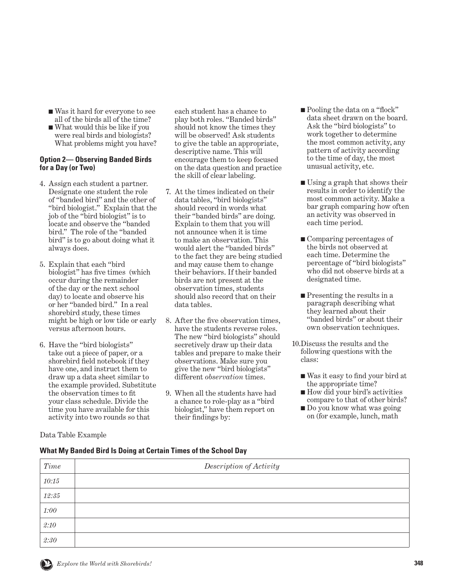- Was it hard for everyone to see all of the birds all of the time?
- What would this be like if you were real birds and biologists? What problems might you have?

#### **Option 2— Observing Banded Birds for a Day (or Two)**

- 4. Assign each student a partner. Designate one student the role of "banded bird" and the other of "bird biologist." Explain that the job of the "bird biologist" is to locate and observe the "banded bird." The role of the "banded bird" is to go about doing what it always does.
- 5. Explain that each "bird biologist" has five times (which occur during the remainder of the day or the next school day) to locate and observe his or her "banded bird." In a real shorebird study, these times might be high or low tide or early versus afternoon hours.
- 6. Have the "bird biologists" take out a piece of paper, or a shorebird field notebook if they have one, and instruct them to draw up a data sheet similar to the example provided. Substitute the observation times to fit your class schedule. Divide the time you have available for this activity into two rounds so that

Data Table Example

each student has a chance to play both roles. "Banded birds" should not know the times they will be observed! Ask students to give the table an appropriate, descriptive name. This will encourage them to keep focused on the data question and practice the skill of clear labeling.

- 7. At the times indicated on their data tables, "bird biologists" should record in words what their "banded birds" are doing. Explain to them that you will not announce when it is time to make an observation. This would alert the "banded birds" to the fact they are being studied and may cause them to change their behaviors. If their banded birds are not present at the observation times, students should also record that on their data tables.
- 8. After the five observation times, have the students reverse roles. The new "bird biologists" should secretively draw up their data tables and prepare to make their observations. Make sure you give the new "bird biologists" different *observation* times.
- 9. When all the students have had a chance to role-play as a "bird biologist," have them report on their findings by:
- Pooling the data on a "flock" data sheet drawn on the board. Ask the "bird biologists" to work together to determine the most common activity, any pattern of activity according to the time of day, the most unusual activity, etc.
- Using a graph that shows their results in order to identify the most common activity. Make a bar graph comparing how often an activity was observed in each time period.
- Comparing percentages of the birds not observed at each time. Determine the percentage of "bird biologists" who did not observe birds at a designated time.
- Presenting the results in a paragraph describing what they learned about their "banded birds" or about their own observation techniques.
- 10. Discuss the results and the following questions with the class:
	- Was it easy to find your bird at the appropriate time?
	- How did your bird's activities compare to that of other birds?
	- Do you know what was going on (for example, lunch, math

## **What My Banded Bird Is Doing at Certain Times of the School Day**

| <b>Time</b> | Description of Activity |
|-------------|-------------------------|
| 10:15       |                         |
| 12:35       |                         |
| 1:00        |                         |
| 2:10        |                         |
| 2:30        |                         |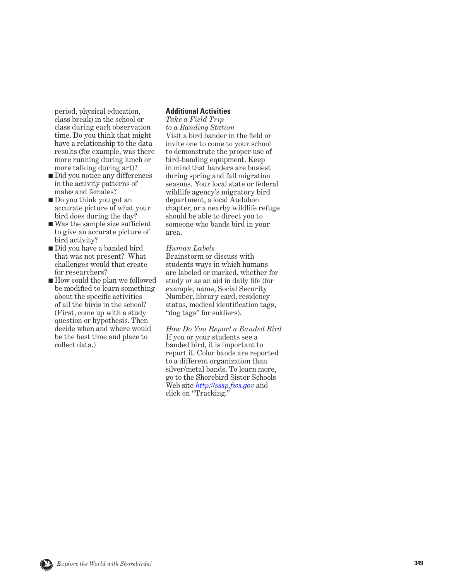period, physical education, class break) in the school or class during each observation time. Do you think that might have a relationship to the data results (for example, was there more running during lunch or more talking during art)?

- Did you notice any differences in the activity patterns of males and females?
- Do you think you got an accurate picture of what your bird does during the day?
- Was the sample size sufficient to give an accurate picture of bird activity?
- Did you have a banded bird that was not present? What challenges would that create for researchers?
- How could the plan we followed be modified to learn something about the specific activities of all the birds in the school? (First, come up with a study question or hypothesis. Then decide when and where would be the best time and place to collect data.)

#### **Additional Activities**

*Take a Field Trip to a Banding Station* Visit a bird bander in the field or invite one to come to your school to demonstrate the proper use of bird-banding equipment. Keep in mind that banders are busiest during spring and fall migration seasons. Your local state or federal wildlife agency's migratory bird department, a local Audubon chapter, or a nearby wildlife refuge should be able to direct you to someone who bands bird in your area.

#### *Human Labels*

Brainstorm or discuss with students ways in which humans are labeled or marked, whether for study or as an aid in daily life (for example, name, Social Security Number, library card, residency status, medical identification tags, "dog tags" for soldiers).

*How Do You Report a Banded Bird* If you or your students see a banded bird, it is important to report it. Color bands are reported to a different organization than silver/metal bands. To learn more, go to the Shorebird Sister Schools Web site *<http://sssp.fws.gov>* and click on "Tracking."